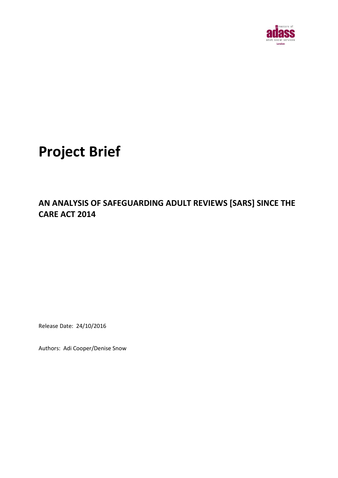

# **Project Brief**

## **AN ANALYSIS OF SAFEGUARDING ADULT REVIEWS [SARS] SINCE THE CARE ACT 2014**

Release Date: 24/10/2016

Authors: Adi Cooper/Denise Snow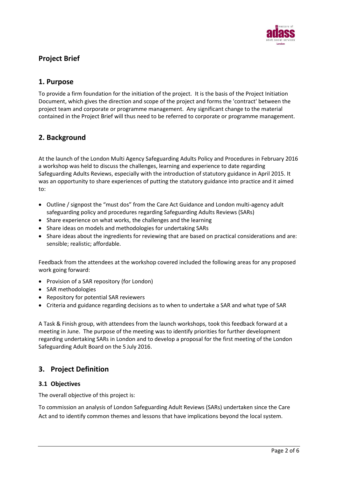

## **Project Brief**

## **1. Purpose**

To provide a firm foundation for the initiation of the project. It is the basis of the Project Initiation Document, which gives the direction and scope of the project and forms the 'contract' between the project team and corporate or programme management. Any significant change to the material contained in the Project Brief will thus need to be referred to corporate or programme management.

## **2. Background**

At the launch of the London Multi Agency Safeguarding Adults Policy and Procedures in February 2016 a workshop was held to discuss the challenges, learning and experience to date regarding Safeguarding Adults Reviews, especially with the introduction of statutory guidance in April 2015. It was an opportunity to share experiences of putting the statutory guidance into practice and it aimed to:

- Outline / signpost the "must dos" from the Care Act Guidance and London multi-agency adult safeguarding policy and procedures regarding Safeguarding Adults Reviews (SARs)
- Share experience on what works, the challenges and the learning
- Share ideas on models and methodologies for undertaking SARs
- Share ideas about the ingredients for reviewing that are based on practical considerations and are: sensible; realistic; affordable.

Feedback from the attendees at the workshop covered included the following areas for any proposed work going forward:

- Provision of a SAR repository (for London)
- SAR methodologies
- Repository for potential SAR reviewers
- Criteria and guidance regarding decisions as to when to undertake a SAR and what type of SAR

A Task & Finish group, with attendees from the launch workshops, took this feedback forward at a meeting in June. The purpose of the meeting was to identify priorities for further development regarding undertaking SARs in London and to develop a proposal for the first meeting of the London Safeguarding Adult Board on the 5 July 2016.

## **3. Project Definition**

#### **3.1 Objectives**

The overall objective of this project is:

To commission an analysis of London Safeguarding Adult Reviews (SARs) undertaken since the Care Act and to identify common themes and lessons that have implications beyond the local system.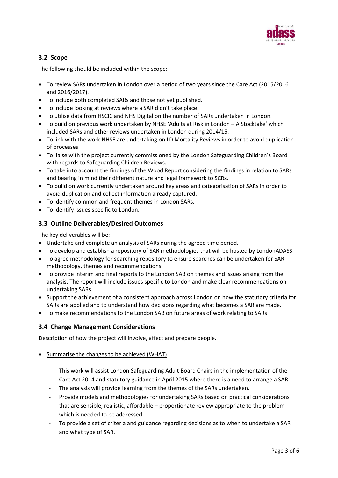

### **3.2 Scope**

The following should be included within the scope:

- To review SARs undertaken in London over a period of two years since the Care Act (2015/2016 and 2016/2017).
- To include both completed SARs and those not yet published.
- To include looking at reviews where a SAR didn't take place.
- To utilise data from HSCIC and NHS Digital on the number of SARs undertaken in London.
- To build on previous work undertaken by NHSE 'Adults at Risk in London A Stocktake' which included SARs and other reviews undertaken in London during 2014/15.
- To link with the work NHSE are undertaking on LD Mortality Reviews in order to avoid duplication of processes.
- To liaise with the project currently commissioned by the London Safeguarding Children's Board with regards to Safeguarding Children Reviews.
- To take into account the findings of the Wood Report considering the findings in relation to SARs and bearing in mind their different nature and legal framework to SCRs.
- To build on work currently undertaken around key areas and categorisation of SARs in order to avoid duplication and collect information already captured.
- To identify common and frequent themes in London SARs.
- To identify issues specific to London.

#### **3.3 Outline Deliverables/Desired Outcomes**

The key deliverables will be:

- Undertake and complete an analysis of SARs during the agreed time period.
- To develop and establish a repository of SAR methodologies that will be hosted by LondonADASS.
- To agree methodology for searching repository to ensure searches can be undertaken for SAR methodology, themes and recommendations
- To provide interim and final reports to the London SAB on themes and issues arising from the analysis. The report will include issues specific to London and make clear recommendations on undertaking SARs.
- Support the achievement of a consistent approach across London on how the statutory criteria for SARs are applied and to understand how decisions regarding what becomes a SAR are made.
- To make recommendations to the London SAB on future areas of work relating to SARs

#### **3.4 Change Management Considerations**

Description of how the project will involve, affect and prepare people.

- Summarise the changes to be achieved (WHAT)
	- This work will assist London Safeguarding Adult Board Chairs in the implementation of the Care Act 2014 and statutory guidance in April 2015 where there is a need to arrange a SAR.
	- The analysis will provide learning from the themes of the SARs undertaken.
	- Provide models and methodologies for undertaking SARs based on practical considerations that are sensible, realistic, affordable – proportionate review appropriate to the problem which is needed to be addressed.
	- To provide a set of criteria and guidance regarding decisions as to when to undertake a SAR and what type of SAR.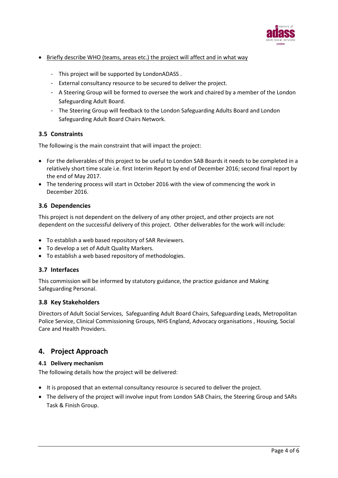

- Briefly describe WHO (teams, areas etc.) the project will affect and in what way
	- This project will be supported by LondonADASS .
	- External consultancy resource to be secured to deliver the project.
	- A Steering Group will be formed to oversee the work and chaired by a member of the London Safeguarding Adult Board.
	- The Steering Group will feedback to the London Safeguarding Adults Board and London Safeguarding Adult Board Chairs Network.

#### **3.5 Constraints**

The following is the main constraint that will impact the project:

- For the deliverables of this project to be useful to London SAB Boards it needs to be completed in a relatively short time scale i.e. first Interim Report by end of December 2016; second final report by the end of May 2017.
- The tendering process will start in October 2016 with the view of commencing the work in December 2016.

#### **3.6 Dependencies**

This project is not dependent on the delivery of any other project, and other projects are not dependent on the successful delivery of this project. Other deliverables for the work will include:

- To establish a web based repository of SAR Reviewers.
- To develop a set of Adult Quality Markers.
- To establish a web based repository of methodologies.

#### **3.7 Interfaces**

This commission will be informed by statutory guidance, the practice guidance and Making Safeguarding Personal.

#### **3.8 Key Stakeholders**

Directors of Adult Social Services, Safeguarding Adult Board Chairs, Safeguarding Leads, Metropolitan Police Service, Clinical Commissioning Groups, NHS England, Advocacy organisations , Housing, Social Care and Health Providers.

## **4. Project Approach**

#### **4.1 Delivery mechanism**

The following details how the project will be delivered:

- It is proposed that an external consultancy resource is secured to deliver the project.
- The delivery of the project will involve input from London SAB Chairs, the Steering Group and SARs Task & Finish Group.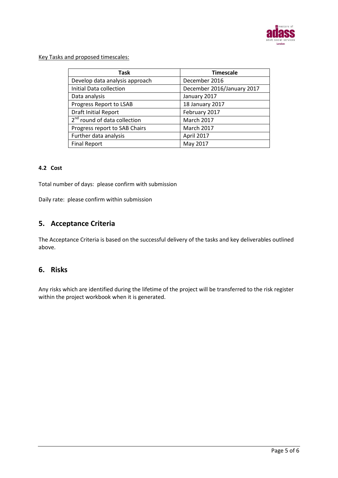

Key Tasks and proposed timescales:

| <b>Task</b>                              | <b>Timescale</b>           |
|------------------------------------------|----------------------------|
| Develop data analysis approach           | December 2016              |
| Initial Data collection                  | December 2016/January 2017 |
| Data analysis                            | January 2017               |
| Progress Report to LSAB                  | 18 January 2017            |
| <b>Draft Initial Report</b>              | February 2017              |
| 2 <sup>nd</sup> round of data collection | March 2017                 |
| Progress report to SAB Chairs            | March 2017                 |
| Further data analysis                    | April 2017                 |
| <b>Final Report</b>                      | May 2017                   |

#### **4.2 Cost**

Total number of days: please confirm with submission

Daily rate: please confirm within submission

## **5. Acceptance Criteria**

The Acceptance Criteria is based on the successful delivery of the tasks and key deliverables outlined above.

#### **6. Risks**

Any risks which are identified during the lifetime of the project will be transferred to the risk register within the project workbook when it is generated.